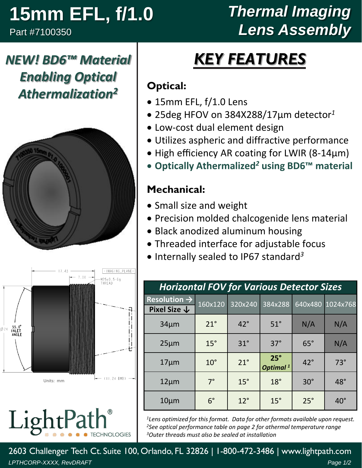# **15mm EFL, f/1.0**

Part #7100350

## *Thermal Imaging Lens Assembly*

## *NEW! BD6™ Material Enabling Optical Athermalization<sup>2</sup>*





LightPa **CHNOLOGIES** 

# *KEY FEATURES*

#### **Optical:**

- 15mm EFL, f/1.0 Lens
- 25deg HFOV on 384X288/17µm detector*<sup>1</sup>*
- Low-cost dual element design
- Utilizes aspheric and diffractive performance
- High efficiency AR coating for LWIR (8-14µm)
- **Optically Athermalized***<sup>2</sup>* **using BD6™ material**

#### **Mechanical:**

- Small size and weight
- Precision molded chalcogenide lens material
- Black anodized aluminum housing
- Threaded interface for adjustable focus
- Internally sealed to IP67 standard *3*

| <b>Horizontal FOV for Various Detector Sizes</b> |              |              |                                    |              |                  |  |  |  |
|--------------------------------------------------|--------------|--------------|------------------------------------|--------------|------------------|--|--|--|
| Resolution $\rightarrow$                         | 160x120      | 320x240      | 384x288                            |              | 640x480 1024x768 |  |  |  |
| Pixel Size $\downarrow$                          |              |              |                                    |              |                  |  |  |  |
| $34 \mu m$                                       | $21^\circ$   | $42^{\circ}$ | $51^\circ$                         | N/A          | N/A              |  |  |  |
| $25 \mu m$                                       | $15^\circ$   | $31^\circ$   | $37^\circ$                         | $65^\circ$   | N/A              |  |  |  |
| $17 \mu m$                                       | $10^{\circ}$ | $21^{\circ}$ | $25^\circ$<br>Optimal <sup>1</sup> | $42^{\circ}$ | $73^\circ$       |  |  |  |
| $12 \mu m$                                       | $7^\circ$    | $15^\circ$   | $18^\circ$                         | $30^\circ$   | $48^\circ$       |  |  |  |
| $10 \mu m$                                       | $6^{\circ}$  | $12^{\circ}$ | $15^\circ$                         | $25^\circ$   | $40^{\circ}$     |  |  |  |

*<sup>1</sup>Lens optimized for this format. Data for other formats available upon request. <sup>2</sup>See optical performance table on page 2 for athermal temperature range <sup>3</sup>Outer threads must also be sealed at installation*

2603 Challenger Tech Ct. Suite 100, Orlando, FL 32826 | 1-800-472-3486 | www.lightpath.com *LPTHCORP-XXXX, RevDRAFT Page 1/2*